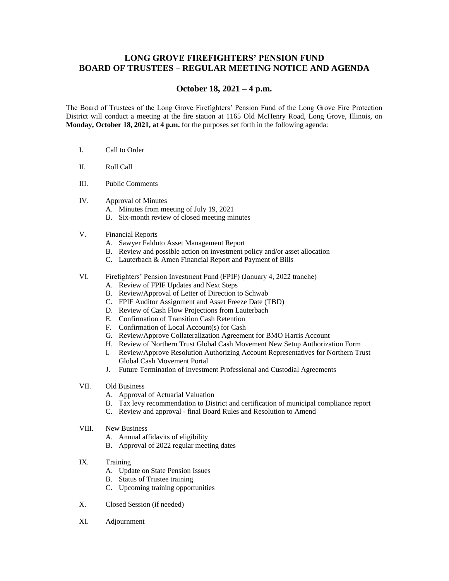## **LONG GROVE FIREFIGHTERS' PENSION FUND BOARD OF TRUSTEES – REGULAR MEETING NOTICE AND AGENDA**

## **October 18, 2021 – 4 p.m.**

The Board of Trustees of the Long Grove Firefighters' Pension Fund of the Long Grove Fire Protection District will conduct a meeting at the fire station at 1165 Old McHenry Road, Long Grove, Illinois, on **Monday, October 18, 2021, at 4 p.m.** for the purposes set forth in the following agenda:

- I. Call to Order
- II. Roll Call
- III. Public Comments
- IV. Approval of Minutes
	- A. Minutes from meeting of July 19, 2021
	- B. Six-month review of closed meeting minutes

## V. Financial Reports

- A. Sawyer Falduto Asset Management Report
- B. Review and possible action on investment policy and/or asset allocation
- C. Lauterbach & Amen Financial Report and Payment of Bills
- VI. Firefighters' Pension Investment Fund (FPIF) (January 4, 2022 tranche)
	- A. Review of FPIF Updates and Next Steps
	- B. Review/Approval of Letter of Direction to Schwab
	- C. FPIF Auditor Assignment and Asset Freeze Date (TBD)
	- D. Review of Cash Flow Projections from Lauterbach
	- E. Confirmation of Transition Cash Retention
	- F. Confirmation of Local Account(s) for Cash
	- G. Review/Approve Collateralization Agreement for BMO Harris Account
	- H. Review of Northern Trust Global Cash Movement New Setup Authorization Form
	- I. Review/Approve Resolution Authorizing Account Representatives for Northern Trust Global Cash Movement Portal
	- J. Future Termination of Investment Professional and Custodial Agreements
- VII. Old Business
	- A. Approval of Actuarial Valuation
	- B. Tax levy recommendation to District and certification of municipal compliance report
	- C. Review and approval final Board Rules and Resolution to Amend
- VIII. New Business
	- A. Annual affidavits of eligibility
	- B. Approval of 2022 regular meeting dates
- IX. Training
	- A. Update on State Pension Issues
	- B. Status of Trustee training
	- C. Upcoming training opportunities
- X. Closed Session (if needed)
- XI. Adjournment